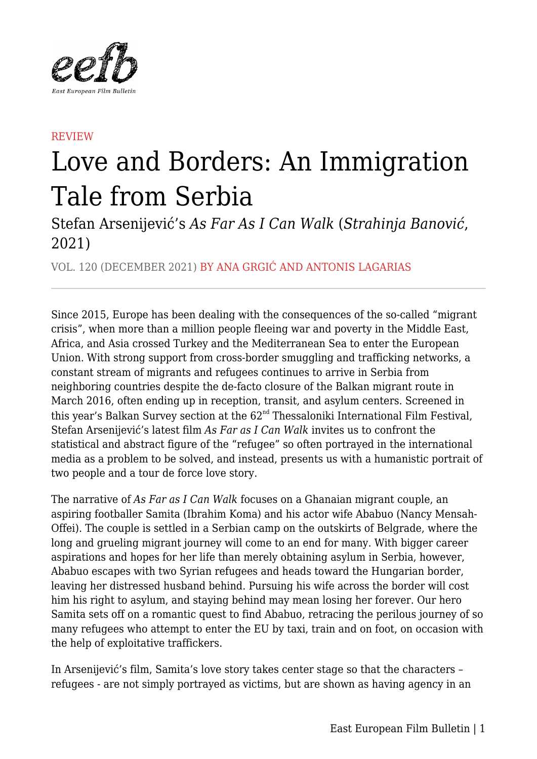

## **REVIEW**

## Love and Borders: An Immigration Tale from Serbia

Stefan Arsenijević's *As Far As I Can Walk* (*Strahinja Banović*, 2021)

VOL. 120 (DECEMBER 2021) BY ANA GRGIĆ AND ANTONIS LAGARIAS

Since 2015, Europe has been dealing with the consequences of the so-called "migrant crisis", when more than a million people fleeing war and poverty in the Middle East, Africa, and Asia crossed Turkey and the Mediterranean Sea to enter the European Union. With strong support from cross-border smuggling and trafficking networks, a constant stream of migrants and refugees continues to arrive in Serbia from neighboring countries despite the de-facto closure of the Balkan migrant route in March 2016, often ending up in reception, transit, and asylum centers. Screened in this year's Balkan Survey section at the 62<sup>nd</sup> Thessaloniki International Film Festival, Stefan Arsenijević's latest film *As Far as I Can Walk* invites us to confront the statistical and abstract figure of the "refugee" so often portrayed in the international media as a problem to be solved, and instead, presents us with a humanistic portrait of two people and a tour de force love story.

The narrative of *As Far as I Can Walk* focuses on a Ghanaian migrant couple, an aspiring footballer Samita (Ibrahim Koma) and his actor wife Ababuo (Nancy Mensah-Offei). The couple is settled in a Serbian camp on the outskirts of Belgrade, where the long and grueling migrant journey will come to an end for many. With bigger career aspirations and hopes for her life than merely obtaining asylum in Serbia, however, Ababuo escapes with two Syrian refugees and heads toward the Hungarian border, leaving her distressed husband behind. Pursuing his wife across the border will cost him his right to asylum, and staying behind may mean losing her forever. Our hero Samita sets off on a romantic quest to find Ababuo, retracing the perilous journey of so many refugees who attempt to enter the EU by taxi, train and on foot, on occasion with the help of exploitative traffickers.

In Arsenijević's film, Samita's love story takes center stage so that the characters – refugees - are not simply portrayed as victims, but are shown as having agency in an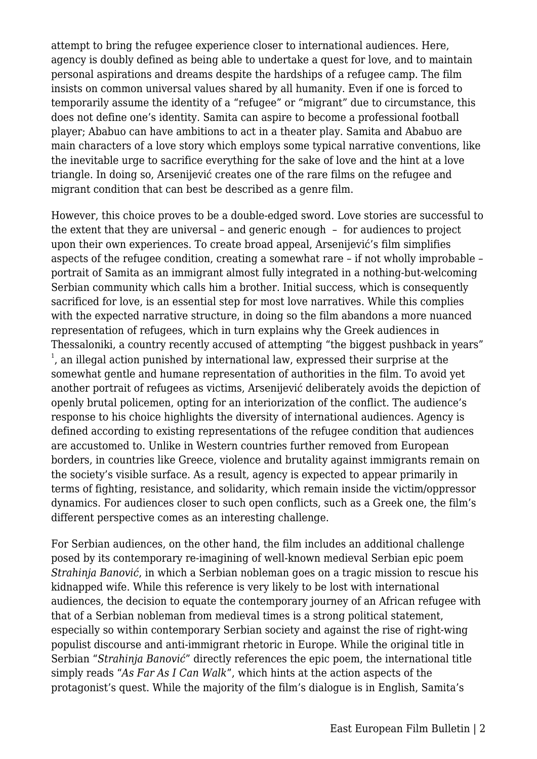attempt to bring the refugee experience closer to international audiences. Here, agency is doubly defined as being able to undertake a quest for love, and to maintain personal aspirations and dreams despite the hardships of a refugee camp. The film insists on common universal values shared by all humanity. Even if one is forced to temporarily assume the identity of a "refugee" or "migrant" due to circumstance, this does not define one's identity. Samita can aspire to become a professional football player; Ababuo can have ambitions to act in a theater play. Samita and Ababuo are main characters of a love story which employs some typical narrative conventions, like the inevitable urge to sacrifice everything for the sake of love and the hint at a love triangle. In doing so, Arsenijević creates one of the rare films on the refugee and migrant condition that can best be described as a genre film.

However, this choice proves to be a double-edged sword. Love stories are successful to the extent that they are universal – and generic enough – for audiences to project upon their own experiences. To create broad appeal, Arsenijević's film simplifies aspects of the refugee condition, creating a somewhat rare – if not wholly improbable – portrait of Samita as an immigrant almost fully integrated in a nothing-but-welcoming Serbian community which calls him a brother. Initial success, which is consequently sacrificed for love, is an essential step for most love narratives. While this complies with the expected narrative structure, in doing so the film abandons a more nuanced representation of refugees, which in turn explains why the Greek audiences in Thessaloniki, a country recently accused of attempting "the biggest pushback in years"  $<sup>1</sup>$ , an illegal action punished by international law, expressed their surprise at the</sup> somewhat gentle and humane representation of authorities in the film. To avoid yet another portrait of refugees as victims, Arsenijević deliberately avoids the depiction of openly brutal policemen, opting for an interiorization of the conflict. The audience's response to his choice highlights the diversity of international audiences. Agency is defined according to existing representations of the refugee condition that audiences are accustomed to. Unlike in Western countries further removed from European borders, in countries like Greece, violence and brutality against immigrants remain on the society's visible surface. As a result, agency is expected to appear primarily in terms of fighting, resistance, and solidarity, which remain inside the victim/oppressor dynamics. For audiences closer to such open conflicts, such as a Greek one, the film's different perspective comes as an interesting challenge.

For Serbian audiences, on the other hand, the film includes an additional challenge posed by its contemporary re-imagining of well-known medieval Serbian epic poem *Strahinja Banović*, in which a Serbian nobleman goes on a tragic mission to rescue his kidnapped wife. While this reference is very likely to be lost with international audiences, the decision to equate the contemporary journey of an African refugee with that of a Serbian nobleman from medieval times is a strong political statement, especially so within contemporary Serbian society and against the rise of right-wing populist discourse and anti-immigrant rhetoric in Europe. While the original title in Serbian "*Strahinja Banović*" directly references the epic poem, the international title simply reads "*As Far As I Can Walk*", which hints at the action aspects of the protagonist's quest. While the majority of the film's dialogue is in English, Samita's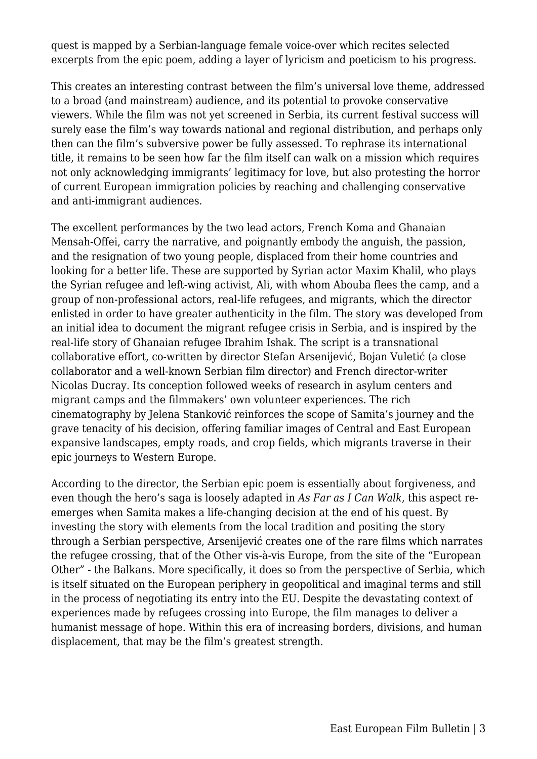quest is mapped by a Serbian-language female voice-over which recites selected excerpts from the epic poem, adding a layer of lyricism and poeticism to his progress.

This creates an interesting contrast between the film's universal love theme, addressed to a broad (and mainstream) audience, and its potential to provoke conservative viewers. While the film was not yet screened in Serbia, its current festival success will surely ease the film's way towards national and regional distribution, and perhaps only then can the film's subversive power be fully assessed. To rephrase its international title, it remains to be seen how far the film itself can walk on a mission which requires not only acknowledging immigrants' legitimacy for love, but also protesting the horror of current European immigration policies by reaching and challenging conservative and anti-immigrant audiences.

The excellent performances by the two lead actors, French Koma and Ghanaian Mensah-Offei, carry the narrative, and poignantly embody the anguish, the passion, and the resignation of two young people, displaced from their home countries and looking for a better life. These are supported by Syrian actor Maxim Khalil, who plays the Syrian refugee and left-wing activist, Ali, with whom Abouba flees the camp, and a group of non-professional actors, real-life refugees, and migrants, which the director enlisted in order to have greater authenticity in the film. The story was developed from an initial idea to document the migrant refugee crisis in Serbia, and is inspired by the real-life story of Ghanaian refugee Ibrahim Ishak. The script is a transnational collaborative effort, co-written by director Stefan Arsenijević, Bojan Vuletić (a close collaborator and a well-known Serbian film director) and French director-writer Nicolas Ducray. Its conception followed weeks of research in asylum centers and migrant camps and the filmmakers' own volunteer experiences. The rich cinematography by Jelena Stanković reinforces the scope of Samita's journey and the grave tenacity of his decision, offering familiar images of Central and East European expansive landscapes, empty roads, and crop fields, which migrants traverse in their epic journeys to Western Europe.

According to the director, the Serbian epic poem is essentially about forgiveness, and even though the hero's saga is loosely adapted in *As Far as I Can Walk*, this aspect reemerges when Samita makes a life-changing decision at the end of his quest. By investing the story with elements from the local tradition and positing the story through a Serbian perspective, Arsenijević creates one of the rare films which narrates the refugee crossing, that of the Other vis-à-vis Europe, from the site of the "European Other" - the Balkans. More specifically, it does so from the perspective of Serbia, which is itself situated on the European periphery in geopolitical and imaginal terms and still in the process of negotiating its entry into the EU. Despite the devastating context of experiences made by refugees crossing into Europe, the film manages to deliver a humanist message of hope. Within this era of increasing borders, divisions, and human displacement, that may be the film's greatest strength.